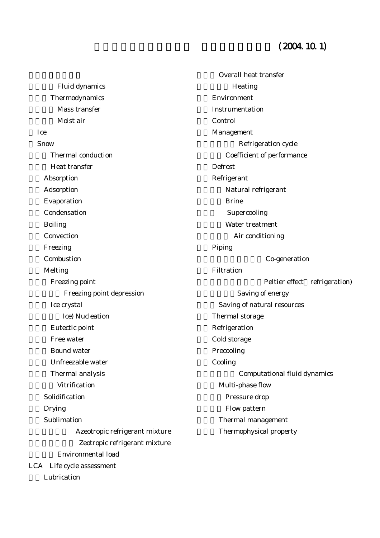## $(2004, 10.1)$

Fluid dynamics Thermodynamics Mass transfer Moist air Ice Snow Thermal conduction Heat transfer Absorption Adsorption Evaporation Condensation **Boiling Convection** Freezing Combustion **Melting** Freezing point Freezing point depression Ice crystal **Ice) Nucleation** Eutectic point Free water Bound water Unfreezable water Thermal analysis Vitrification Solidification **Drying** Sublimation Azeotropic refrigerant mixture Zeotropic refrigerant mixture Environmental load LCA Life cycle assessment Lubrication

Overall heat transfer Heating Environment **Instrumentation** Control Management Refrigeration cycle Coefficient of performance **Defrost** Refrigerant Natural refrigerant **Brine** Supercooling Water treatment Air conditioning Piping Co-generation **Filtration** Peltier effect refrigeration) Saving of energy Saving of natural resources Thermal storage Refrigeration Cold storage Precooling **Cooling** Computational fluid dynamics Multi-phase flow Pressure drop Flow pattern Thermal management Thermophysical property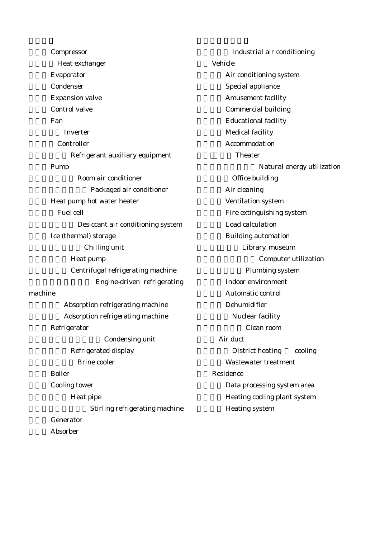Compressor Heat exchanger **Evaporator Condenser Expansion valve** Control valve Fan Inverter **Controller** Refrigerant auxiliary equipment Pump Room air conditioner Packaged air conditioner Heat pump hot water heater Fuel cell Desiccant air conditioning system Ice (thermal) storage Chilling unit Heat pump Centrifugal refrigerating machine Engine-driven refrigerating machine Absorption refrigerating machine Adsorption refrigerating machine Refrigerator Condensing unit Refrigerated display Brine cooler **Boiler** Cooling tower Heat pipe Stirling refrigerating machine Generator Absorber

Industrial air conditioning Vehicle Air conditioning system Special appliance **Amusement facility** Commercial building **Educational facility** Medical facility Accommodation Theater Natural energy utilization Office building Air cleaning Ventilation system Fire extinguishing system Load calculation **Building automation** Library, museum Computer utilization Plumbing system Indoor environment Automatic control Dehumidifier Nuclear facility Clean room Air duct District heating cooling Wastewater treatment **Residence** Data processing system area Heating cooling plant system Heating system